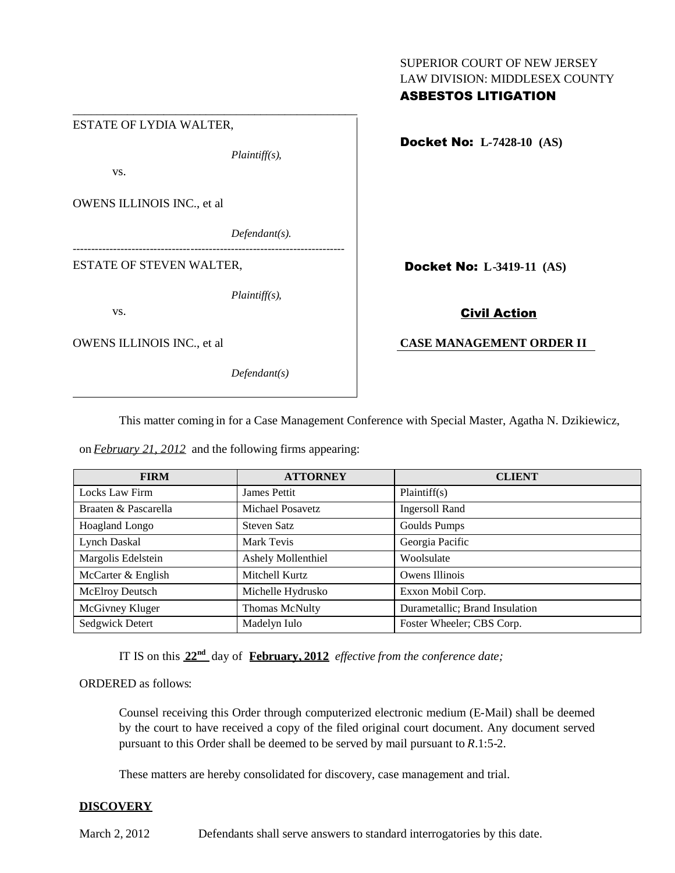# SUPERIOR COURT OF NEW JERSEY LAW DIVISION: MIDDLESEX COUNTY ASBESTOS LITIGATION

\_\_\_\_\_\_\_\_\_\_\_\_\_\_\_\_\_\_\_\_\_\_\_\_\_\_\_\_\_\_\_\_\_\_\_\_\_\_\_\_\_\_\_\_\_\_\_ ESTATE OF LYDIA WALTER, *Plaintiff(s),* vs. OWENS ILLINOIS INC., et al *Defendant(s). --------------------------------------------------------------------------* ESTATE OF STEVEN WALTER, *Plaintiff(s),* vs. OWENS ILLINOIS INC., et al *Defendant(s)*

Docket No: **L-7428-10 (AS)**

Docket No: **L-3419-11 (AS)**

## Civil Action

## **CASE MANAGEMENT ORDER II**

This matter coming in for a Case Management Conference with Special Master, Agatha N. Dzikiewicz,

on *February 21, 2012* and the following firms appearing:

| <b>FIRM</b>            | <b>ATTORNEY</b>           | <b>CLIENT</b>                  |
|------------------------|---------------------------|--------------------------------|
| Locks Law Firm         | James Pettit              | Plaintiff(s)                   |
| Braaten & Pascarella   | Michael Posavetz          | <b>Ingersoll Rand</b>          |
| <b>Hoagland Longo</b>  | Steven Satz               | Goulds Pumps                   |
| Lynch Daskal           | Mark Tevis                | Georgia Pacific                |
| Margolis Edelstein     | <b>Ashely Mollenthiel</b> | Woolsulate                     |
| McCarter & English     | Mitchell Kurtz            | Owens Illinois                 |
| <b>McElroy Deutsch</b> | Michelle Hydrusko         | Exxon Mobil Corp.              |
| McGivney Kluger        | Thomas McNulty            | Durametallic; Brand Insulation |
| Sedgwick Detert        | Madelyn Iulo              | Foster Wheeler; CBS Corp.      |

IT IS on this **22nd** day of **February, 2012** *effective from the conference date;*

ORDERED as follows:

Counsel receiving this Order through computerized electronic medium (E-Mail) shall be deemed by the court to have received a copy of the filed original court document. Any document served pursuant to this Order shall be deemed to be served by mail pursuant to *R*.1:5-2.

These matters are hereby consolidated for discovery, case management and trial.

# **DISCOVERY**

March 2, 2012 Defendants shall serve answers to standard interrogatories by this date.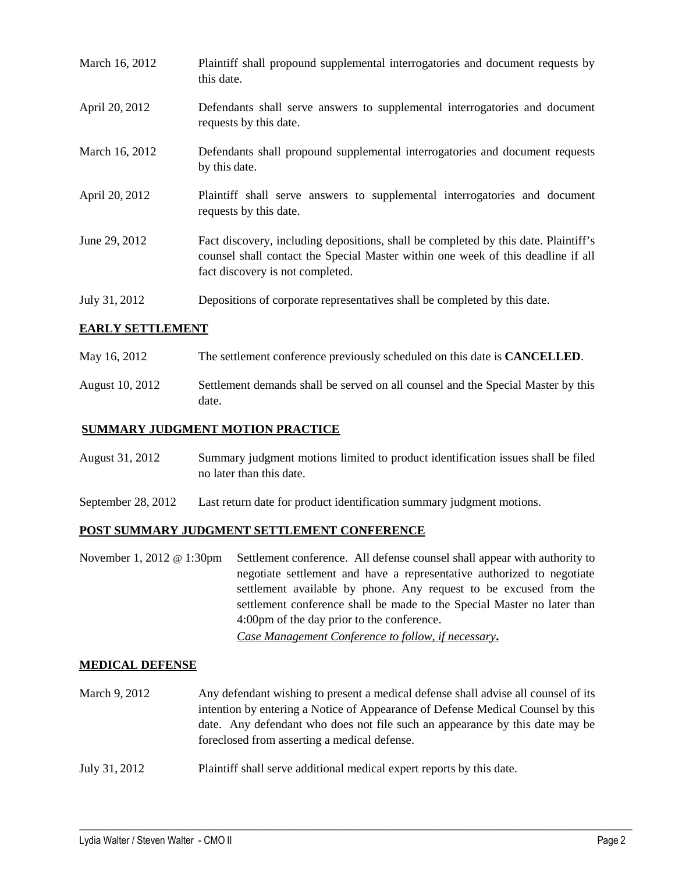| March 16, 2012 | Plaintiff shall propound supplemental interrogatories and document requests by<br>this date.                                                                                                                |
|----------------|-------------------------------------------------------------------------------------------------------------------------------------------------------------------------------------------------------------|
| April 20, 2012 | Defendants shall serve answers to supplemental interrogatories and document<br>requests by this date.                                                                                                       |
| March 16, 2012 | Defendants shall propound supplemental interrogatories and document requests<br>by this date.                                                                                                               |
| April 20, 2012 | Plaintiff shall serve answers to supplemental interrogatories and document<br>requests by this date.                                                                                                        |
| June 29, 2012  | Fact discovery, including depositions, shall be completed by this date. Plaintiff's<br>counsel shall contact the Special Master within one week of this deadline if all<br>fact discovery is not completed. |
| July 31, 2012  | Depositions of corporate representatives shall be completed by this date.                                                                                                                                   |

# **EARLY SETTLEMENT**

| May 16, 2012 | The settlement conference previously scheduled on this date is <b>CANCELLED</b> . |
|--------------|-----------------------------------------------------------------------------------|
|--------------|-----------------------------------------------------------------------------------|

August 10, 2012 Settlement demands shall be served on all counsel and the Special Master by this date.

## **SUMMARY JUDGMENT MOTION PRACTICE**

| August 31, 2012 | Summary judgment motions limited to product identification issues shall be filed |
|-----------------|----------------------------------------------------------------------------------|
|                 | no later than this date.                                                         |

September 28, 2012 Last return date for product identification summary judgment motions.

#### **POST SUMMARY JUDGMENT SETTLEMENT CONFERENCE**

November 1, 2012 @ 1:30pm Settlement conference. All defense counsel shall appear with authority to negotiate settlement and have a representative authorized to negotiate settlement available by phone. Any request to be excused from the settlement conference shall be made to the Special Master no later than 4:00pm of the day prior to the conference. *Case Management Conference to follow, if necessary***.**

#### **MEDICAL DEFENSE**

March 9, 2012 Any defendant wishing to present a medical defense shall advise all counsel of its intention by entering a Notice of Appearance of Defense Medical Counsel by this date. Any defendant who does not file such an appearance by this date may be foreclosed from asserting a medical defense.

 $\_$  ,  $\_$  ,  $\_$  ,  $\_$  ,  $\_$  ,  $\_$  ,  $\_$  ,  $\_$  ,  $\_$  ,  $\_$  ,  $\_$  ,  $\_$  ,  $\_$  ,  $\_$  ,  $\_$  ,  $\_$  ,  $\_$  ,  $\_$  ,  $\_$  ,  $\_$  ,  $\_$  ,  $\_$  ,  $\_$  ,  $\_$  ,  $\_$  ,  $\_$  ,  $\_$  ,  $\_$  ,  $\_$  ,  $\_$  ,  $\_$  ,  $\_$  ,  $\_$  ,  $\_$  ,  $\_$  ,  $\_$  ,  $\_$  ,

July 31, 2012 Plaintiff shall serve additional medical expert reports by this date.